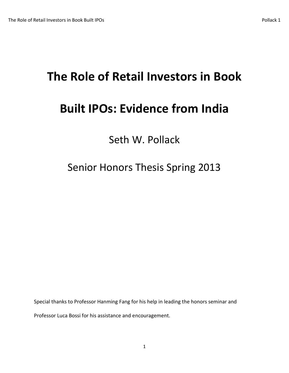## **The Role of Retail Investors in Book**

## **Built IPOs: Evidence from India**

Seth W. Pollack

Senior Honors Thesis Spring 2013

Special thanks to Professor Hanming Fang for his help in leading the honors seminar and

Professor Luca Bossi for his assistance and encouragement.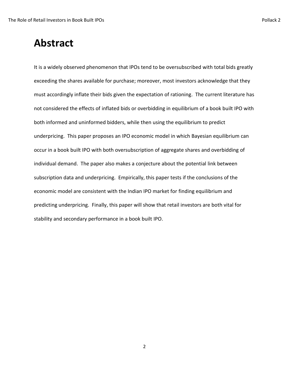It is a widely observed phenomenon that IPOs tend to be oversubscribed with total bids greatly exceeding the shares available for purchase; moreover, most investors acknowledge that they must accordingly inflate their bids given the expectation of rationing. The current literature has not considered the effects of inflated bids or overbidding in equilibrium of a book built IPO with both informed and uninformed bidders, while then using the equilibrium to predict underpricing. This paper proposes an IPO economic model in which Bayesian equilibrium can occur in a book built IPO with both oversubscription of aggregate shares and overbidding of individual demand. The paper also makes a conjecture about the potential link between subscription data and underpricing. Empirically, this paper tests if the conclusions of the economic model are consistent with the Indian IPO market for finding equilibrium and predicting underpricing. Finally, this paper will show that retail investors are both vital for stability and secondary performance in a book built IPO.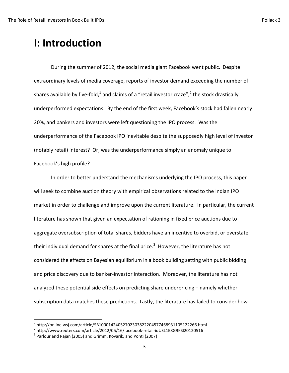## **I: Introduction**

During the summer of 2012, the social media giant Facebook went public. Despite extraordinary levels of media coverage, reports of investor demand exceeding the number of shares available by five-fold,<sup>1</sup> and claims of a "retail investor craze",<sup>2</sup> the stock drastically underperformed expectations. By the end of the first week, Facebook's stock had fallen nearly 20%, and bankers and investors were left questioning the IPO process. Was the underperformance of the Facebook IPO inevitable despite the supposedly high level of investor (notably retail) interest? Or, was the underperformance simply an anomaly unique to Facebook's high profile?

In order to better understand the mechanisms underlying the IPO process, this paper will seek to combine auction theory with empirical observations related to the Indian IPO market in order to challenge and improve upon the current literature. In particular, the current literature has shown that given an expectation of rationing in fixed price auctions due to aggregate oversubscription of total shares, bidders have an incentive to overbid, or overstate their individual demand for shares at the final price.<sup>3</sup> However, the literature has not considered the effects on Bayesian equilibrium in a book building setting with public bidding and price discovery due to banker-investor interaction. Moreover, the literature has not analyzed these potential side effects on predicting share underpricing – namely whether subscription data matches these predictions. Lastly, the literature has failed to consider how

 $\overline{\phantom{a}}$ 

<sup>1</sup> http://online.wsj.com/article/SB10001424052702303822204577468931105122266.html

<sup>2</sup> http://www.reuters.com/article/2012/05/16/facebook-retail-idUSL1E8G9KSI20120516

 $^3$  Parlour and Rajan (2005) and Grimm, Kovarik, and Ponti (2007)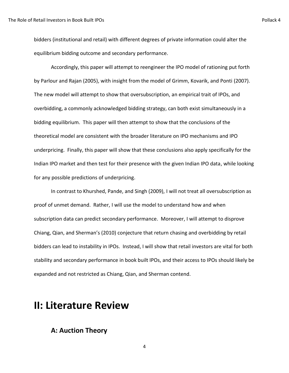bidders (institutional and retail) with different degrees of private information could alter the equilibrium bidding outcome and secondary performance.

Accordingly, this paper will attempt to reengineer the IPO model of rationing put forth by Parlour and Rajan (2005), with insight from the model of Grimm, Kovarik, and Ponti (2007). The new model will attempt to show that oversubscription, an empirical trait of IPOs, and overbidding, a commonly acknowledged bidding strategy, can both exist simultaneously in a bidding equilibrium. This paper will then attempt to show that the conclusions of the theoretical model are consistent with the broader literature on IPO mechanisms and IPO underpricing. Finally, this paper will show that these conclusions also apply specifically for the Indian IPO market and then test for their presence with the given Indian IPO data, while looking for any possible predictions of underpricing.

In contrast to Khurshed, Pande, and Singh (2009), I will not treat all oversubscription as proof of unmet demand. Rather, I will use the model to understand how and when subscription data can predict secondary performance. Moreover, I will attempt to disprove Chiang, Qian, and Sherman's (2010) conjecture that return chasing and overbidding by retail bidders can lead to instability in IPOs. Instead, I will show that retail investors are vital for both stability and secondary performance in book built IPOs, and their access to IPOs should likely be expanded and not restricted as Chiang, Qian, and Sherman contend.

## **II: Literature Review**

#### **A: Auction Theory**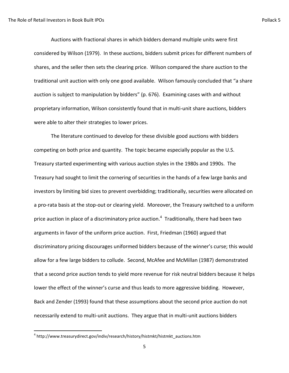Auctions with fractional shares in which bidders demand multiple units were first considered by Wilson (1979). In these auctions, bidders submit prices for different numbers of shares, and the seller then sets the clearing price. Wilson compared the share auction to the traditional unit auction with only one good available. Wilson famously concluded that "a share auction is subject to manipulation by bidders" (p. 676). Examining cases with and without proprietary information, Wilson consistently found that in multi-unit share auctions, bidders were able to alter their strategies to lower prices.

The literature continued to develop for these divisible good auctions with bidders competing on both price and quantity. The topic became especially popular as the U.S. Treasury started experimenting with various auction styles in the 1980s and 1990s. The Treasury had sought to limit the cornering of securities in the hands of a few large banks and investors by limiting bid sizes to prevent overbidding; traditionally, securities were allocated on a pro-rata basis at the stop-out or clearing yield. Moreover, the Treasury switched to a uniform price auction in place of a discriminatory price auction.<sup>4</sup> Traditionally, there had been two arguments in favor of the uniform price auction. First, Friedman (1960) argued that discriminatory pricing discourages uniformed bidders because of the winner's curse; this would allow for a few large bidders to collude. Second, McAfee and McMillan (1987) demonstrated that a second price auction tends to yield more revenue for risk neutral bidders because it helps lower the effect of the winner's curse and thus leads to more aggressive bidding. However, Back and Zender (1993) found that these assumptions about the second price auction do not necessarily extend to multi-unit auctions. They argue that in multi-unit auctions bidders

 $\overline{\phantom{a}}$ 

<sup>4</sup> http://www.treasurydirect.gov/indiv/research/history/histmkt/histmkt\_auctions.htm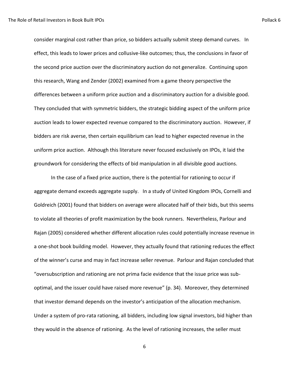consider marginal cost rather than price, so bidders actually submit steep demand curves. In effect, this leads to lower prices and collusive-like outcomes; thus, the conclusions in favor of the second price auction over the discriminatory auction do not generalize. Continuing upon this research, Wang and Zender (2002) examined from a game theory perspective the differences between a uniform price auction and a discriminatory auction for a divisible good. They concluded that with symmetric bidders, the strategic bidding aspect of the uniform price auction leads to lower expected revenue compared to the discriminatory auction. However, if bidders are risk averse, then certain equilibrium can lead to higher expected revenue in the uniform price auction. Although this literature never focused exclusively on IPOs, it laid the groundwork for considering the effects of bid manipulation in all divisible good auctions.

In the case of a fixed price auction, there is the potential for rationing to occur if aggregate demand exceeds aggregate supply. In a study of United Kingdom IPOs, Cornelli and Goldreich (2001) found that bidders on average were allocated half of their bids, but this seems to violate all theories of profit maximization by the book runners. Nevertheless, Parlour and Rajan (2005) considered whether different allocation rules could potentially increase revenue in a one-shot book building model. However, they actually found that rationing reduces the effect of the winner's curse and may in fact increase seller revenue. Parlour and Rajan concluded that "oversubscription and rationing are not prima facie evidence that the issue price was suboptimal, and the issuer could have raised more revenue" (p. 34). Moreover, they determined that investor demand depends on the investor's anticipation of the allocation mechanism. Under a system of pro-rata rationing, all bidders, including low signal investors, bid higher than they would in the absence of rationing. As the level of rationing increases, the seller must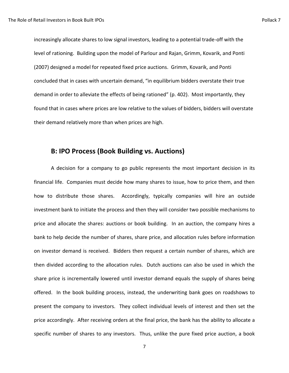increasingly allocate shares to low signal investors, leading to a potential trade-off with the level of rationing. Building upon the model of Parlour and Rajan, Grimm, Kovarik, and Ponti (2007) designed a model for repeated fixed price auctions. Grimm, Kovarik, and Ponti concluded that in cases with uncertain demand, "in equilibrium bidders overstate their true demand in order to alleviate the effects of being rationed" (p. 402). Most importantly, they found that in cases where prices are low relative to the values of bidders, bidders will overstate their demand relatively more than when prices are high.

#### **B: IPO Process (Book Building vs. Auctions)**

A decision for a company to go public represents the most important decision in its financial life. Companies must decide how many shares to issue, how to price them, and then how to distribute those shares. Accordingly, typically companies will hire an outside investment bank to initiate the process and then they will consider two possible mechanisms to price and allocate the shares: auctions or book building. In an auction, the company hires a bank to help decide the number of shares, share price, and allocation rules before information on investor demand is received. Bidders then request a certain number of shares, which are then divided according to the allocation rules. Dutch auctions can also be used in which the share price is incrementally lowered until investor demand equals the supply of shares being offered. In the book building process, instead, the underwriting bank goes on roadshows to present the company to investors. They collect individual levels of interest and then set the price accordingly. After receiving orders at the final price, the bank has the ability to allocate a specific number of shares to any investors. Thus, unlike the pure fixed price auction, a book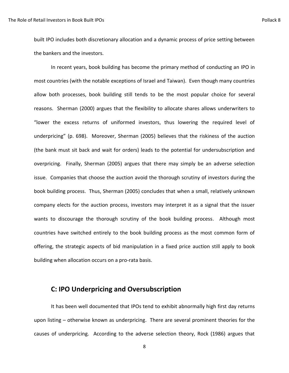built IPO includes both discretionary allocation and a dynamic process of price setting between the bankers and the investors.

In recent years, book building has become the primary method of conducting an IPO in most countries (with the notable exceptions of Israel and Taiwan). Even though many countries allow both processes, book building still tends to be the most popular choice for several reasons. Sherman (2000) argues that the flexibility to allocate shares allows underwriters to "lower the excess returns of uniformed investors, thus lowering the required level of underpricing" (p. 698). Moreover, Sherman (2005) believes that the riskiness of the auction (the bank must sit back and wait for orders) leads to the potential for undersubscription and overpricing. Finally, Sherman (2005) argues that there may simply be an adverse selection issue. Companies that choose the auction avoid the thorough scrutiny of investors during the book building process. Thus, Sherman (2005) concludes that when a small, relatively unknown company elects for the auction process, investors may interpret it as a signal that the issuer wants to discourage the thorough scrutiny of the book building process. Although most countries have switched entirely to the book building process as the most common form of offering, the strategic aspects of bid manipulation in a fixed price auction still apply to book building when allocation occurs on a pro-rata basis.

#### **C: IPO Underpricing and Oversubscription**

It has been well documented that IPOs tend to exhibit abnormally high first day returns upon listing – otherwise known as underpricing. There are several prominent theories for the causes of underpricing. According to the adverse selection theory, Rock (1986) argues that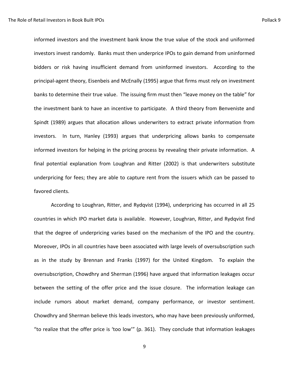informed investors and the investment bank know the true value of the stock and uniformed investors invest randomly. Banks must then underprice IPOs to gain demand from uninformed bidders or risk having insufficient demand from uninformed investors. According to the principal-agent theory, Eisenbeis and McEnally (1995) argue that firms must rely on investment banks to determine their true value. The issuing firm must then "leave money on the table" for the investment bank to have an incentive to participate. A third theory from Benveniste and Spindt (1989) argues that allocation allows underwriters to extract private information from investors. In turn, Hanley (1993) argues that underpricing allows banks to compensate informed investors for helping in the pricing process by revealing their private information. A final potential explanation from Loughran and Ritter (2002) is that underwriters substitute underpricing for fees; they are able to capture rent from the issuers which can be passed to favored clients.

According to Loughran, Ritter, and Rydqvist (1994), underpricing has occurred in all 25 countries in which IPO market data is available. However, Loughran, Ritter, and Rydqvist find that the degree of underpricing varies based on the mechanism of the IPO and the country. Moreover, IPOs in all countries have been associated with large levels of oversubscription such as in the study by Brennan and Franks (1997) for the United Kingdom. To explain the oversubscription, Chowdhry and Sherman (1996) have argued that information leakages occur between the setting of the offer price and the issue closure. The information leakage can include rumors about market demand, company performance, or investor sentiment. Chowdhry and Sherman believe this leads investors, who may have been previously uniformed, "to realize that the offer price is 'too low'" (p. 361). They conclude that information leakages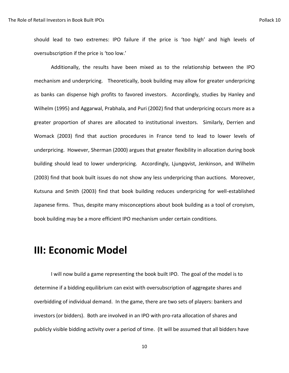should lead to two extremes: IPO failure if the price is 'too high' and high levels of oversubscription if the price is 'too low.'

Additionally, the results have been mixed as to the relationship between the IPO mechanism and underpricing. Theoretically, book building may allow for greater underpricing as banks can dispense high profits to favored investors. Accordingly, studies by Hanley and Wilhelm (1995) and Aggarwal, Prabhala, and Puri (2002) find that underpricing occurs more as a greater proportion of shares are allocated to institutional investors. Similarly, Derrien and Womack (2003) find that auction procedures in France tend to lead to lower levels of underpricing. However, Sherman (2000) argues that greater flexibility in allocation during book building should lead to lower underpricing. Accordingly, Ljungqvist, Jenkinson, and Wilhelm (2003) find that book built issues do not show any less underpricing than auctions. Moreover, Kutsuna and Smith (2003) find that book building reduces underpricing for well-established Japanese firms. Thus, despite many misconceptions about book building as a tool of cronyism, book building may be a more efficient IPO mechanism under certain conditions.

## **III: Economic Model**

I will now build a game representing the book built IPO. The goal of the model is to determine if a bidding equilibrium can exist with oversubscription of aggregate shares and overbidding of individual demand. In the game, there are two sets of players: bankers and investors (or bidders). Both are involved in an IPO with pro-rata allocation of shares and publicly visible bidding activity over a period of time. (It will be assumed that all bidders have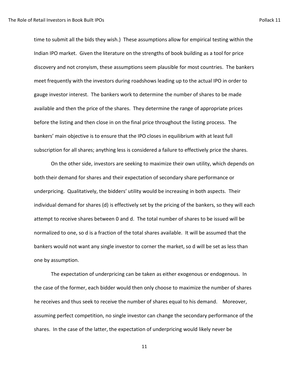time to submit all the bids they wish.) These assumptions allow for empirical testing within the Indian IPO market. Given the literature on the strengths of book building as a tool for price discovery and not cronyism, these assumptions seem plausible for most countries. The bankers meet frequently with the investors during roadshows leading up to the actual IPO in order to gauge investor interest. The bankers work to determine the number of shares to be made available and then the price of the shares. They determine the range of appropriate prices before the listing and then close in on the final price throughout the listing process. The bankers' main objective is to ensure that the IPO closes in equilibrium with at least full subscription for all shares; anything less is considered a failure to effectively price the shares.

On the other side, investors are seeking to maximize their own utility, which depends on both their demand for shares and their expectation of secondary share performance or underpricing. Qualitatively, the bidders' utility would be increasing in both aspects. Their individual demand for shares (d) is effectively set by the pricing of the bankers, so they will each attempt to receive shares between 0 and d. The total number of shares to be issued will be normalized to one, so d is a fraction of the total shares available. It will be assumed that the bankers would not want any single investor to corner the market, so d will be set as less than one by assumption.

The expectation of underpricing can be taken as either exogenous or endogenous. In the case of the former, each bidder would then only choose to maximize the number of shares he receives and thus seek to receive the number of shares equal to his demand. Moreover, assuming perfect competition, no single investor can change the secondary performance of the shares. In the case of the latter, the expectation of underpricing would likely never be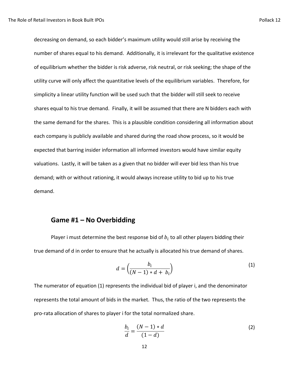decreasing on demand, so each bidder's maximum utility would still arise by receiving the number of shares equal to his demand. Additionally, it is irrelevant for the qualitative existence of equilibrium whether the bidder is risk adverse, risk neutral, or risk seeking; the shape of the utility curve will only affect the quantitative levels of the equilibrium variables. Therefore, for simplicity a linear utility function will be used such that the bidder will still seek to receive shares equal to his true demand. Finally, it will be assumed that there are N bidders each with the same demand for the shares. This is a plausible condition considering all information about each company is publicly available and shared during the road show process, so it would be expected that barring insider information all informed investors would have similar equity valuations. Lastly, it will be taken as a given that no bidder will ever bid less than his true demand; with or without rationing, it would always increase utility to bid up to his true demand.

#### **Game #1 – No Overbidding**

Player i must determine the best response bid of  $b_i$  to all other players bidding their true demand of d in order to ensure that he actually is allocated his true demand of shares.

$$
d = \left(\frac{b_i}{(N-1) * d + b_i}\right) \tag{1}
$$

The numerator of equation (1) represents the individual bid of player i, and the denominator represents the total amount of bids in the market. Thus, the ratio of the two represents the pro-rata allocation of shares to player i for the total normalized share.

$$
\frac{b_i}{d} = \frac{(N-1)*d}{(1-d)}
$$
 (2)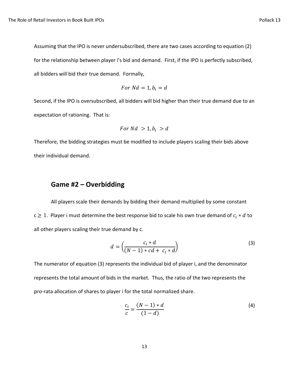Assuming that the IPO is never undersubscribed, there are two cases according to equation (2) for the relationship between player i's bid and demand. First, if the IPO is perfectly subscribed, all bidders will bid their true demand. Formally,

$$
For\;Nd=1, b_i=d
$$

Second, if the IPO is oversubscribed, all bidders will bid higher than their true demand due to an expectation of rationing. That is:

$$
For\ Nd\ >1, b_i\ > d
$$

Therefore, the bidding strategies must be modified to include players scaling their bids above their individual demand.

#### **Game #2 – Overbidding**

All players scale their demands by bidding their demand multiplied by some constant  $c \ge 1$ . Player i must determine the best response bid to scale his own true demand of  $c_i * d$  to all other players scaling their true demand by c.

$$
d = \left(\frac{c_i * d}{(N-1) * cd + c_i * d}\right) \tag{3}
$$

The numerator of equation (3) represents the individual bid of player i, and the denominator represents the total amount of bids in the market. Thus, the ratio of the two represents the pro-rata allocation of shares to player i for the total normalized share.

$$
\frac{c_i}{c} = \frac{(N-1)*d}{(1-d)}
$$
(4)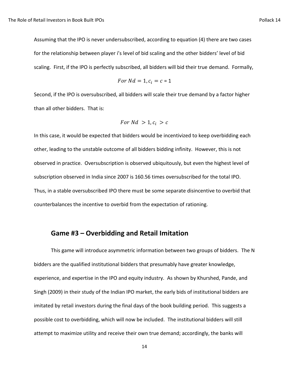Assuming that the IPO is never undersubscribed, according to equation (4) there are two cases for the relationship between player i's level of bid scaling and the other bidders' level of bid scaling. First, if the IPO is perfectly subscribed, all bidders will bid their true demand. Formally,

For 
$$
Nd = 1
$$
,  $c_i = c = 1$ 

Second, if the IPO is oversubscribed, all bidders will scale their true demand by a factor higher than all other bidders. That is:

$$
For\ Nd\ > 1, c_i\ > c
$$

In this case, it would be expected that bidders would be incentivized to keep overbidding each other, leading to the unstable outcome of all bidders bidding infinity. However, this is not observed in practice. Oversubscription is observed ubiquitously, but even the highest level of subscription observed in India since 2007 is 160.56 times oversubscribed for the total IPO. Thus, in a stable oversubscribed IPO there must be some separate disincentive to overbid that counterbalances the incentive to overbid from the expectation of rationing.

#### **Game #3 – Overbidding and Retail Imitation**

This game will introduce asymmetric information between two groups of bidders. The N bidders are the qualified institutional bidders that presumably have greater knowledge, experience, and expertise in the IPO and equity industry. As shown by Khurshed, Pande, and Singh (2009) in their study of the Indian IPO market, the early bids of institutional bidders are imitated by retail investors during the final days of the book building period. This suggests a possible cost to overbidding, which will now be included. The institutional bidders will still attempt to maximize utility and receive their own true demand; accordingly, the banks will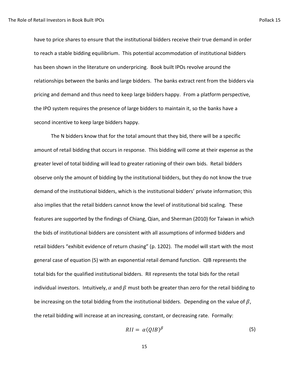have to price shares to ensure that the institutional bidders receive their true demand in order to reach a stable bidding equilibrium. This potential accommodation of institutional bidders has been shown in the literature on underpricing. Book built IPOs revolve around the relationships between the banks and large bidders. The banks extract rent from the bidders via pricing and demand and thus need to keep large bidders happy. From a platform perspective, the IPO system requires the presence of large bidders to maintain it, so the banks have a second incentive to keep large bidders happy.

The N bidders know that for the total amount that they bid, there will be a specific amount of retail bidding that occurs in response. This bidding will come at their expense as the greater level of total bidding will lead to greater rationing of their own bids. Retail bidders observe only the amount of bidding by the institutional bidders, but they do not know the true demand of the institutional bidders, which is the institutional bidders' private information; this also implies that the retail bidders cannot know the level of institutional bid scaling. These features are supported by the findings of Chiang, Qian, and Sherman (2010) for Taiwan in which the bids of institutional bidders are consistent with all assumptions of informed bidders and retail bidders "exhibit evidence of return chasing" (p. 1202). The model will start with the most general case of equation (5) with an exponential retail demand function. QIB represents the total bids for the qualified institutional bidders. RII represents the total bids for the retail individual investors. Intuitively,  $\alpha$  and  $\beta$  must both be greater than zero for the retail bidding to be increasing on the total bidding from the institutional bidders. Depending on the value of  $\beta$ , the retail bidding will increase at an increasing, constant, or decreasing rate. Formally:

$$
RII = \alpha (QIB)^{\beta} \tag{5}
$$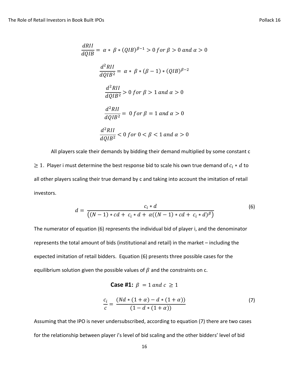$$
\frac{dRII}{dQIB} = \alpha * \beta * (QIB)^{\beta - 1} > 0 \text{ for } \beta > 0 \text{ and } \alpha > 0
$$
\n
$$
\frac{d^2RII}{dQIB^2} = \alpha * \beta * (\beta - 1) * (QIB)^{\beta - 2}
$$
\n
$$
\frac{d^2RII}{dQIB^2} > 0 \text{ for } \beta > 1 \text{ and } \alpha > 0
$$
\n
$$
\frac{d^2RII}{dQIB^2} = 0 \text{ for } \beta = 1 \text{ and } \alpha > 0
$$
\n
$$
\frac{d^2RII}{dQIB^2} < 0 \text{ for } 0 < \beta < 1 \text{ and } \alpha > 0
$$

All players scale their demands by bidding their demand multiplied by some constant c  $\geq 1$ . Player i must determine the best response bid to scale his own true demand of  $c_i * d$  to all other players scaling their true demand by c and taking into account the imitation of retail investors.

$$
d = \frac{c_i * d}{((N-1) * cd + c_i * d + \alpha((N-1) * cd + c_i * d)^{\beta})}
$$
(6)

The numerator of equation (6) represents the individual bid of player i, and the denominator represents the total amount of bids (institutional and retail) in the market – including the expected imitation of retail bidders. Equation (6) presents three possible cases for the equilibrium solution given the possible values of  $\beta$  and the constraints on c.

Case #1: 
$$
\beta = 1
$$
 and  $c \ge 1$ 

$$
\frac{c_i}{c} = \frac{(Nd * (1 + \alpha) - d * (1 + \alpha))}{(1 - d * (1 + \alpha))}
$$
(7)

Assuming that the IPO is never undersubscribed, according to equation (7) there are two cases for the relationship between player i's level of bid scaling and the other bidders' level of bid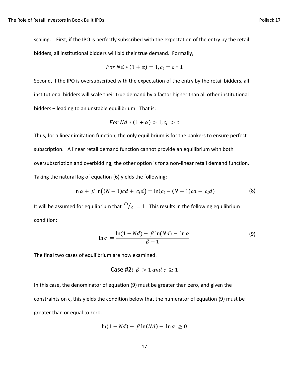scaling. First, if the IPO is perfectly subscribed with the expectation of the entry by the retail bidders, all institutional bidders will bid their true demand. Formally,

For 
$$
Nd * (1 + \alpha) = 1, c_i = c = 1
$$

Second, if the IPO is oversubscribed with the expectation of the entry by the retail bidders, all institutional bidders will scale their true demand by a factor higher than all other institutional bidders – leading to an unstable equilibrium. That is:

$$
For\;Nd*(1+\alpha) > 1, c_i > c
$$

Thus, for a linear imitation function, the only equilibrium is for the bankers to ensure perfect subscription. A linear retail demand function cannot provide an equilibrium with both oversubscription and overbidding; the other option is for a non-linear retail demand function. Taking the natural log of equation (6) yields the following:

$$
\ln \alpha + \beta \ln((N-1)cd + c_i d) = \ln(c_i - (N-1)cd - c_i d)
$$
 (8)

It will be assumed for equilibrium that  $\frac{c_i}{c} = 1$ . This results in the following equilibrium condition:

$$
\ln c = \frac{\ln(1 - Nd) - \beta \ln(Nd) - \ln \alpha}{\beta - 1} \tag{9}
$$

The final two cases of equilibrium are now examined.

**Case #2:** 
$$
\beta > 1
$$
 and  $c \ge 1$ 

In this case, the denominator of equation (9) must be greater than zero, and given the constraints on c, this yields the condition below that the numerator of equation (9) must be greater than or equal to zero.

$$
\ln(1 - Nd) - \beta \ln(Nd) - \ln \alpha \ge 0
$$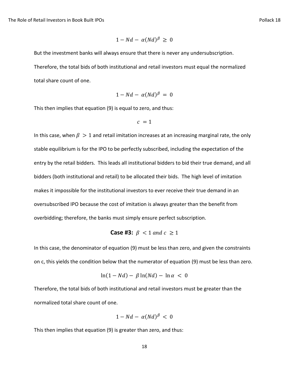$$
1 - Nd - \alpha (Nd)^{\beta} \geq 0
$$

But the investment banks will always ensure that there is never any undersubscription.

Therefore, the total bids of both institutional and retail investors must equal the normalized total share count of one.

$$
1-Nd-\alpha(Nd)^{\beta}=0
$$

This then implies that equation (9) is equal to zero, and thus:

$$
c\ = 1
$$

In this case, when  $\beta > 1$  and retail imitation increases at an increasing marginal rate, the only stable equilibrium is for the IPO to be perfectly subscribed, including the expectation of the entry by the retail bidders. This leads all institutional bidders to bid their true demand, and all bidders (both institutional and retail) to be allocated their bids. The high level of imitation makes it impossible for the institutional investors to ever receive their true demand in an oversubscribed IPO because the cost of imitation is always greater than the benefit from overbidding; therefore, the banks must simply ensure perfect subscription.

**Case #3:** 
$$
\beta
$$
 < 1 and  $c \ge 1$ 

In this case, the denominator of equation (9) must be less than zero, and given the constraints on c, this yields the condition below that the numerator of equation (9) must be less than zero.

$$
\ln(1 - Nd) - \beta \ln(Nd) - \ln \alpha < 0
$$

Therefore, the total bids of both institutional and retail investors must be greater than the normalized total share count of one.

$$
1 - Nd - \alpha (Nd)^{\beta} < 0
$$

This then implies that equation (9) is greater than zero, and thus: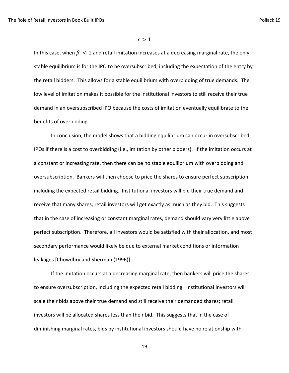#### $c > 1$

In this case, when  $\beta$  < 1 and retail imitation increases at a decreasing marginal rate, the only stable equilibrium is for the IPO to be oversubscribed, including the expectation of the entry by the retail bidders. This allows for a stable equilibrium with overbidding of true demands. The low level of imitation makes it possible for the institutional investors to still receive their true demand in an oversubscribed IPO because the costs of imitation eventually equilibrate to the benefits of overbidding.

In conclusion, the model shows that a bidding equilibrium can occur in oversubscribed IPOs if there is a cost to overbidding (i.e., imitation by other bidders). If the imitation occurs at a constant or increasing rate, then there can be no stable equilibrium with overbidding and oversubscription. Bankers will then choose to price the shares to ensure perfect subscription including the expected retail bidding. Institutional investors will bid their true demand and receive that many shares; retail investors will get exactly as much as they bid. This suggests that in the case of increasing or constant marginal rates, demand should vary very little above perfect subscription. Therefore, all investors would be satisfied with their allocation, and most secondary performance would likely be due to external market conditions or information leakages [Chowdhry and Sherman (1996)].

If the imitation occurs at a decreasing marginal rate, then bankers will price the shares to ensure oversubscription, including the expected retail bidding. Institutional investors will scale their bids above their true demand and still receive their demanded shares; retail investors will be allocated shares less than their bid. This suggests that in the case of diminishing marginal rates, bids by institutional investors should have no relationship with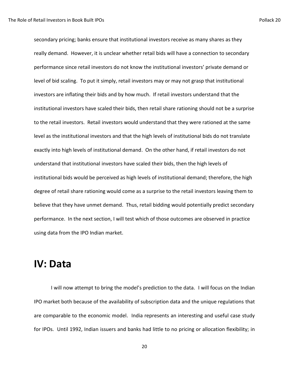secondary pricing; banks ensure that institutional investors receive as many shares as they really demand. However, it is unclear whether retail bids will have a connection to secondary performance since retail investors do not know the institutional investors' private demand or level of bid scaling. To put it simply, retail investors may or may not grasp that institutional investors are inflating their bids and by how much. If retail investors understand that the institutional investors have scaled their bids, then retail share rationing should not be a surprise to the retail investors. Retail investors would understand that they were rationed at the same level as the institutional investors and that the high levels of institutional bids do not translate exactly into high levels of institutional demand. On the other hand, if retail investors do not understand that institutional investors have scaled their bids, then the high levels of institutional bids would be perceived as high levels of institutional demand; therefore, the high degree of retail share rationing would come as a surprise to the retail investors leaving them to believe that they have unmet demand. Thus, retail bidding would potentially predict secondary performance. In the next section, I will test which of those outcomes are observed in practice using data from the IPO Indian market.

### **IV: Data**

I will now attempt to bring the model's prediction to the data. I will focus on the Indian IPO market both because of the availability of subscription data and the unique regulations that are comparable to the economic model. India represents an interesting and useful case study for IPOs. Until 1992, Indian issuers and banks had little to no pricing or allocation flexibility; in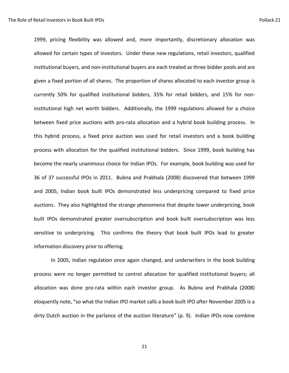1999, pricing flexibility was allowed and, more importantly, discretionary allocation was allowed for certain types of investors. Under these new regulations, retail investors, qualified institutional buyers, and non-institutional buyers are each treated as three bidder pools and are given a fixed portion of all shares. The proportion of shares allocated to each investor group is currently 50% for qualified institutional bidders, 35% for retail bidders, and 15% for noninstitutional high net worth bidders. Additionally, the 1999 regulations allowed for a choice between fixed price auctions with pro-rata allocation and a hybrid book building process. In this hybrid process, a fixed price auction was used for retail investors and a book building process with allocation for the qualified institutional bidders. Since 1999, book building has become the nearly unanimous choice for Indian IPOs. For example, book building was used for 36 of 37 successful IPOs in 2011. Bubna and Prabhala (2008) discovered that between 1999 and 2005, Indian book built IPOs demonstrated less underpricing compared to fixed price auctions. They also highlighted the strange phenomena that despite lower underpricing, book built IPOs demonstrated greater oversubscription and book built oversubscription was less sensitive to underpricing. This confirms the theory that book built IPOs lead to greater information discovery prior to offering.

In 2005, Indian regulation once again changed, and underwriters in the book building process were no longer permitted to control allocation for qualified institutional buyers; all allocation was done pro-rata within each investor group. As Bubna and Prabhala (2008) eloquently note, "so what the Indian IPO market calls a book built IPO after November 2005 is a dirty Dutch auction in the parlance of the auction literature" (p. 9). Indian IPOs now combine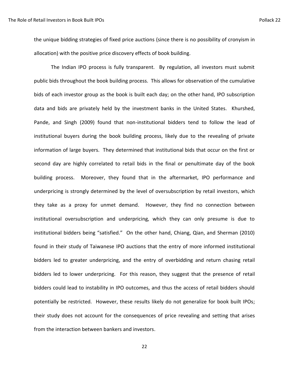the unique bidding strategies of fixed price auctions (since there is no possibility of cronyism in allocation) with the positive price discovery effects of book building.

The Indian IPO process is fully transparent. By regulation, all investors must submit public bids throughout the book building process. This allows for observation of the cumulative bids of each investor group as the book is built each day; on the other hand, IPO subscription data and bids are privately held by the investment banks in the United States. Khurshed, Pande, and Singh (2009) found that non-institutional bidders tend to follow the lead of institutional buyers during the book building process, likely due to the revealing of private information of large buyers. They determined that institutional bids that occur on the first or second day are highly correlated to retail bids in the final or penultimate day of the book building process. Moreover, they found that in the aftermarket, IPO performance and underpricing is strongly determined by the level of oversubscription by retail investors, which they take as a proxy for unmet demand. However, they find no connection between institutional oversubscription and underpricing, which they can only presume is due to institutional bidders being "satisfied." On the other hand, Chiang, Qian, and Sherman (2010) found in their study of Taiwanese IPO auctions that the entry of more informed institutional bidders led to greater underpricing, and the entry of overbidding and return chasing retail bidders led to lower underpricing. For this reason, they suggest that the presence of retail bidders could lead to instability in IPO outcomes, and thus the access of retail bidders should potentially be restricted. However, these results likely do not generalize for book built IPOs; their study does not account for the consequences of price revealing and setting that arises from the interaction between bankers and investors.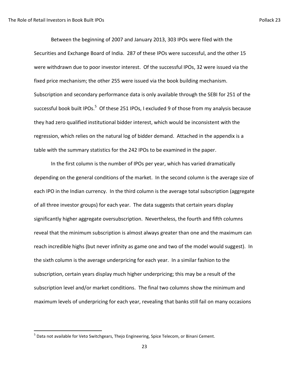$\overline{\phantom{a}}$ 

Between the beginning of 2007 and January 2013, 303 IPOs were filed with the Securities and Exchange Board of India. 287 of these IPOs were successful, and the other 15 were withdrawn due to poor investor interest. Of the successful IPOs, 32 were issued via the fixed price mechanism; the other 255 were issued via the book building mechanism. Subscription and secondary performance data is only available through the SEBI for 251 of the successful book built IPOs.<sup>5</sup> Of these 251 IPOs, I excluded 9 of those from my analysis because they had zero qualified institutional bidder interest, which would be inconsistent with the regression, which relies on the natural log of bidder demand. Attached in the appendix is a table with the summary statistics for the 242 IPOs to be examined in the paper.

In the first column is the number of IPOs per year, which has varied dramatically depending on the general conditions of the market. In the second column is the average size of each IPO in the Indian currency. In the third column is the average total subscription (aggregate of all three investor groups) for each year. The data suggests that certain years display significantly higher aggregate oversubscription. Nevertheless, the fourth and fifth columns reveal that the minimum subscription is almost always greater than one and the maximum can reach incredible highs (but never infinity as game one and two of the model would suggest). In the sixth column is the average underpricing for each year. In a similar fashion to the subscription, certain years display much higher underpricing; this may be a result of the subscription level and/or market conditions. The final two columns show the minimum and maximum levels of underpricing for each year, revealing that banks still fail on many occasions

<sup>&</sup>lt;sup>5</sup> Data not available for Veto Switchgears, Thejo Engineering, Spice Telecom, or Binani Cement.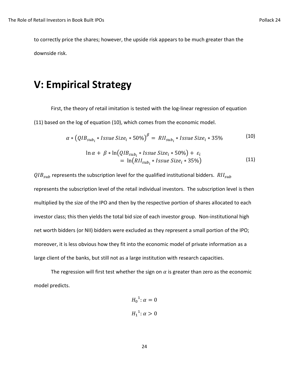to correctly price the shares; however, the upside risk appears to be much greater than the downside risk.

### **V: Empirical Strategy**

First, the theory of retail imitation is tested with the log-linear regression of equation (11) based on the log of equation (10), which comes from the economic model.

$$
\alpha * (QIB_{sub_i} * Issue Size_i * 50\%)^{\beta} = RII_{sub_i} * Issue Size_i * 35\% \tag{10}
$$

$$
\ln \alpha + \beta * \ln \left( QIB_{\text{sub}_i} * I \text{ssue Size}_i * 50\% \right) + \varepsilon_i
$$
\n
$$
= \ln \left( RII_{\text{sub}_i} * I \text{ssue Size}_i * 35\% \right) \tag{11}
$$

 $QIB<sub>sub</sub>$  represents the subscription level for the qualified institutional bidders.  $RII<sub>sub</sub>$ represents the subscription level of the retail individual investors. The subscription level is then multiplied by the size of the IPO and then by the respective portion of shares allocated to each investor class; this then yields the total bid size of each investor group. Non-institutional high net worth bidders (or NII) bidders were excluded as they represent a small portion of the IPO; moreover, it is less obvious how they fit into the economic model of private information as a large client of the banks, but still not as a large institution with research capacities.

The regression will first test whether the sign on  $\alpha$  is greater than zero as the economic model predicts.

$$
H_0^{1}: \alpha = 0
$$
  

$$
H_1^{1}: \alpha > 0
$$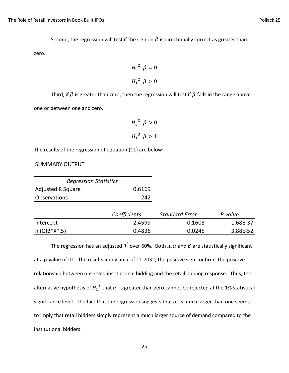Second, the regression will test if the sign on  $\beta$  is directionally correct as greater than

zero.

$$
H_0^2: \beta = 0
$$
  

$$
H_1^2: \beta > 0
$$

Third, if  $\beta$  is greater than zero, then the regression will test if  $\beta$  falls in the range above one or between one and zero.

$$
H_0^3: \beta > 0
$$
  

$$
H_1^3: \beta > 1
$$

The results of the regression of equation (11) are below:

#### SUMMARY OUTPUT

| <b>Regression Statistics</b> |        |
|------------------------------|--------|
| <b>Adjusted R Square</b>     | 0.6169 |
| <b>Observations</b>          | 242    |

|                | Coefficients | <b>Standard Error</b> | P-value  |
|----------------|--------------|-----------------------|----------|
| Intercept      | 2.4599       | 0.1603                | 1.68E-37 |
| $In(QIB*X*.5)$ | 0.4836       | 0.0245                | 3.88E-52 |

The regression has an adjusted R<sup>2</sup> over 60%. Both  $\ln\alpha$  and  $\beta$  are statistically significant at a p-value of.01. The results imply an  $\alpha$  of 11.7032; the positive sign confirms the positive relationship between observed institutional bidding and the retail bidding response. Thus, the alternative hypothesis of  $H_1^{-1}$  that  $\alpha$  is greater than zero cannot be rejected at the 1% statistical significance level. The fact that the regression suggests that  $\alpha$  is much larger than one seems to imply that retail bidders simply represent a much larger source of demand compared to the institutional bidders.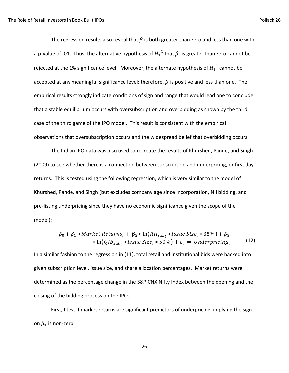The regression results also reveal that  $\beta$  is both greater than zero and less than one with a p-value of .01. Thus, the alternative hypothesis of  ${H_1}^2$  that  $\beta$  is greater than zero cannot be rejected at the 1% significance level. Moreover, the alternate hypothesis of  $H_1^{\; 3}$  cannot be accepted at any meaningful significance level; therefore,  $\beta$  is positive and less than one. The empirical results strongly indicate conditions of sign and range that would lead one to conclude that a stable equilibrium occurs with oversubscription and overbidding as shown by the third case of the third game of the IPO model. This result is consistent with the empirical observations that oversubscription occurs and the widespread belief that overbidding occurs.

The Indian IPO data was also used to recreate the results of Khurshed, Pande, and Singh (2009) to see whether there is a connection between subscription and underpricing, or first day returns. This is tested using the following regression, which is very similar to the model of Khurshed, Pande, and Singh (but excludes company age since incorporation, NII bidding, and pre-listing underpricing since they have no economic significance given the scope of the model):

$$
\beta_0 + \beta_1 * Market Returns_i + \beta_2 * ln(RII_{sub_i} * Issue Size_i * 35\%) + \beta_3
$$
  
 \* ln(QIB<sub>sub\_i</sub> \* Issue Size<sub>i</sub> \* 50\%) +  $\varepsilon_i$  = Under pricing<sub>i</sub> (12)

In a similar fashion to the regression in (11), total retail and institutional bids were backed into given subscription level, issue size, and share allocation percentages. Market returns were determined as the percentage change in the S&P CNX Nifty Index between the opening and the closing of the bidding process on the IPO.

First, I test if market returns are significant predictors of underpricing, implying the sign on  $\beta_1$  is non-zero.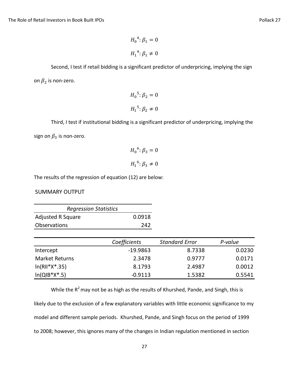$$
H_0^4: \beta_1 = 0
$$
  

$$
H_1^4: \beta_1 \neq 0
$$

Second, I test if retail bidding is a significant predictor of underpricing, implying the sign on 
$$
\beta_2
$$
 is non-zero.

$$
H_0^5
$$
: 
$$
\beta_2 = 0
$$

$$
H_1^5
$$
: 
$$
\beta_2 \neq 0
$$

```
Third, I test if institutional bidding is a significant predictor of underpricing, implying the 
sign on \beta_3 is non-zero.
```

$$
H_0^6: \beta_3 = 0
$$
  

$$
H_1^6: \beta_3 \neq 0
$$

The results of the regression of equation (12) are below:

SUMMARY OUTPUT

| <b>Regression Statistics</b> |        |
|------------------------------|--------|
| <b>Adjusted R Square</b>     | 0.0918 |
| <b>Observations</b>          | 242    |

|                       | Coefficients | <b>Standard Error</b> | P-value |
|-----------------------|--------------|-----------------------|---------|
| Intercept             | $-19.9863$   | 8.7338                | 0.0230  |
| <b>Market Returns</b> | 2.3478       | 0.9777                | 0.0171  |
| $ln(RII^*X^*.35)$     | 8.1793       | 2.4987                | 0.0012  |
| $ln(QIB*X*.5)$        | $-0.9113$    | 1.5382                | 0.5541  |

While the  $R^2$  may not be as high as the results of Khurshed, Pande, and Singh, this is likely due to the exclusion of a few explanatory variables with little economic significance to my model and different sample periods. Khurshed, Pande, and Singh focus on the period of 1999 to 2008; however, this ignores many of the changes in Indian regulation mentioned in section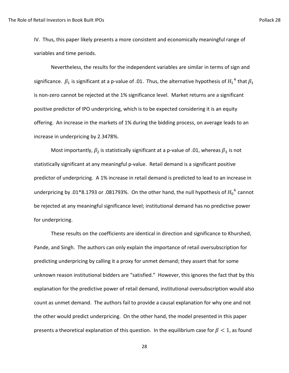IV. Thus, this paper likely presents a more consistent and economically meaningful range of variables and time periods.

Nevertheless, the results for the independent variables are similar in terms of sign and significance.  $\beta_1$  is significant at a p-value of .01. Thus, the alternative hypothesis of  ${H_1}^4$  that is non-zero cannot be rejected at the 1% significance level. Market returns are a significant positive predictor of IPO underpricing, which is to be expected considering it is an equity offering. An increase in the markets of 1% during the bidding process, on average leads to an increase in underpricing by 2.3478%.

Most importantly,  $\beta_2$  is statistically significant at a p-value of .01, whereas  $\beta_3$  is not statistically significant at any meaningful p-value. Retail demand is a significant positive predictor of underpricing. A 1% increase in retail demand is predicted to lead to an increase in underpricing by .01\*8.1793 or .081793%. On the other hand, the null hypothesis of  $H_0^6$  cannot be rejected at any meaningful significance level; institutional demand has no predictive power for underpricing.

These results on the coefficients are identical in direction and significance to Khurshed, Pande, and Singh. The authors can only explain the importance of retail oversubscription for predicting underpricing by calling it a proxy for unmet demand; they assert that for some unknown reason institutional bidders are "satisfied." However, this ignores the fact that by this explanation for the predictive power of retail demand, institutional oversubscription would also count as unmet demand. The authors fail to provide a causal explanation for why one and not the other would predict underpricing. On the other hand, the model presented in this paper presents a theoretical explanation of this question. In the equilibrium case for  $\beta < 1$ , as found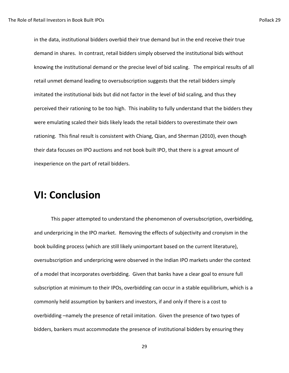in the data, institutional bidders overbid their true demand but in the end receive their true demand in shares. In contrast, retail bidders simply observed the institutional bids without knowing the institutional demand or the precise level of bid scaling. The empirical results of all retail unmet demand leading to oversubscription suggests that the retail bidders simply imitated the institutional bids but did not factor in the level of bid scaling, and thus they perceived their rationing to be too high. This inability to fully understand that the bidders they were emulating scaled their bids likely leads the retail bidders to overestimate their own rationing. This final result is consistent with Chiang, Qian, and Sherman (2010), even though their data focuses on IPO auctions and not book built IPO, that there is a great amount of inexperience on the part of retail bidders.

## **VI: Conclusion**

This paper attempted to understand the phenomenon of oversubscription, overbidding, and underpricing in the IPO market. Removing the effects of subjectivity and cronyism in the book building process (which are still likely unimportant based on the current literature), oversubscription and underpricing were observed in the Indian IPO markets under the context of a model that incorporates overbidding. Given that banks have a clear goal to ensure full subscription at minimum to their IPOs, overbidding can occur in a stable equilibrium, which is a commonly held assumption by bankers and investors, if and only if there is a cost to overbidding –namely the presence of retail imitation. Given the presence of two types of bidders, bankers must accommodate the presence of institutional bidders by ensuring they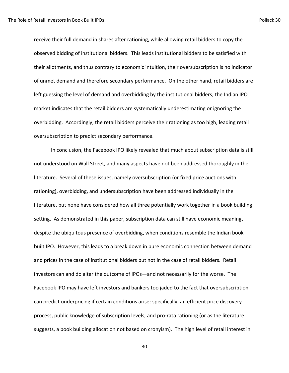receive their full demand in shares after rationing, while allowing retail bidders to copy the observed bidding of institutional bidders. This leads institutional bidders to be satisfied with their allotments, and thus contrary to economic intuition, their oversubscription is no indicator of unmet demand and therefore secondary performance. On the other hand, retail bidders are left guessing the level of demand and overbidding by the institutional bidders; the Indian IPO market indicates that the retail bidders are systematically underestimating or ignoring the overbidding. Accordingly, the retail bidders perceive their rationing as too high, leading retail oversubscription to predict secondary performance.

In conclusion, the Facebook IPO likely revealed that much about subscription data is still not understood on Wall Street, and many aspects have not been addressed thoroughly in the literature. Several of these issues, namely oversubscription (or fixed price auctions with rationing), overbidding, and undersubscription have been addressed individually in the literature, but none have considered how all three potentially work together in a book building setting. As demonstrated in this paper, subscription data can still have economic meaning, despite the ubiquitous presence of overbidding, when conditions resemble the Indian book built IPO. However, this leads to a break down in pure economic connection between demand and prices in the case of institutional bidders but not in the case of retail bidders. Retail investors can and do alter the outcome of IPOs—and not necessarily for the worse. The Facebook IPO may have left investors and bankers too jaded to the fact that oversubscription can predict underpricing if certain conditions arise: specifically, an efficient price discovery process, public knowledge of subscription levels, and pro-rata rationing (or as the literature suggests, a book building allocation not based on cronyism). The high level of retail interest in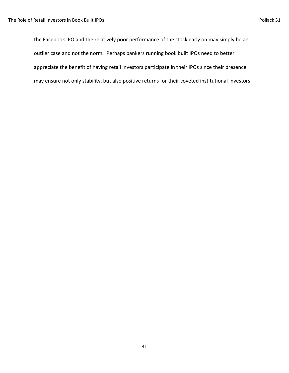the Facebook IPO and the relatively poor performance of the stock early on may simply be an outlier case and not the norm. Perhaps bankers running book built IPOs need to better appreciate the benefit of having retail investors participate in their IPOs since their presence may ensure not only stability, but also positive returns for their coveted institutional investors.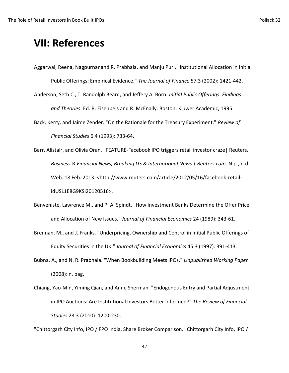## **VII: References**

Aggarwal, Reena, Nagpurnanand R. Prabhala, and Manju Puri. "Institutional Allocation in Initial Public Offerings: Empirical Evidence." *The Journal of Finance* 57.3 (2002): 1421-442.

Anderson, Seth C., T. Randolph Beard, and Jeffery A. Born. *Initial Public Offerings: Findings and Theories*. Ed. R. Eisenbeis and R. McEnally. Boston: Kluwer Academic, 1995.

Back, Kerry, and Jaime Zender. "On the Rationale for the Treasury Experiment." *Review of Financial Studies* 6.4 (1993): 733-64.

Barr, Alistair, and Olivia Oran. "FEATURE-Facebook IPO triggers retail investor craze| Reuters." *Business & Financial News, Breaking US & International News | Reuters.com*. N.p., n.d. Web. 18 Feb. 2013. <http://www.reuters.com/article/2012/05/16/facebook-retailidUSL1E8G9KSI20120516>.

- Benveniste, Lawrence M., and P. A. Spindt. "How Investment Banks Determine the Offer Price and Allocation of New Issues." *Journal of Financial Economics* 24 (1989): 343-61.
- Brennan, M., and J. Franks. "Underpricing, Ownership and Control in Initial Public Offerings of Equity Securities in the UK." *Journal of Financial Economics* 45.3 (1997): 391-413.
- Bubna, A., and N. R. Prabhala. "When Bookbuilding Meets IPOs." *Unpublished Working Paper* (2008): n. pag.
- Chiang, Yao-Min, Yiming Qian, and Anne Sherman. "Endogenous Entry and Partial Adjustment in IPO Auctions: Are Institutional Investors Better Informed?" *The Review of Financial Studies* 23.3 (2010): 1200-230.

"Chittorgarh City Info, IPO / FPO India, Share Broker Comparison." Chittorgarh City Info, IPO /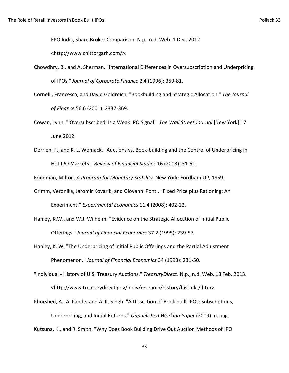FPO India, Share Broker Comparison. N.p., n.d. Web. 1 Dec. 2012.

<http://www.chittorgarh.com/>.

- Chowdhry, B., and A. Sherman. "International Differences in Oversubscription and Underpricing of IPOs." *Journal of Corporate Finance* 2.4 (1996): 359-81.
- Cornelli, Francesca, and David Goldreich. "Bookbuilding and Strategic Allocation." *The Journal of Finance* 56.6 (2001): 2337-369.
- Cowan, Lynn. "'Oversubscribed' Is a Weak IPO Signal." *The Wall Street Journal* [New York] 17 June 2012.
- Derrien, F., and K. L. Womack. "Auctions vs. Book-building and the Control of Underpricing in Hot IPO Markets." *Review of Financial Studies* 16 (2003): 31-61.

Friedman, Milton. *A Program for Monetary Stability.* New York: Fordham UP, 1959.

- Grimm, Veronika, Jaromir Kovarik, and Giovanni Ponti. "Fixed Price plus Rationing: An Experiment." *Experimental Economics* 11.4 (2008): 402-22.
- Hanley, K.W., and W.J. Wilhelm. "Evidence on the Strategic Allocation of Initial Public Offerings." *Journal of Financial Economics* 37.2 (1995): 239-57.
- Hanley, K. W. "The Underpricing of Initial Public Offerings and the Partial Adjustment Phenomenon." *Journal of Financial Economics* 34 (1993): 231-50.
- "Individual History of U.S. Treasury Auctions." *TreasuryDirect*. N.p., n.d. Web. 18 Feb. 2013. <http://www.treasurydirect.gov/indiv/research/history/histmkt/.htm>.
- Khurshed, A., A. Pande, and A. K. Singh. "A Dissection of Book built IPOs: Subscriptions, Underpricing, and Initial Returns." *Unpublished Working Paper* (2009): n. pag. Kutsuna, K., and R. Smith. "Why Does Book Building Drive Out Auction Methods of IPO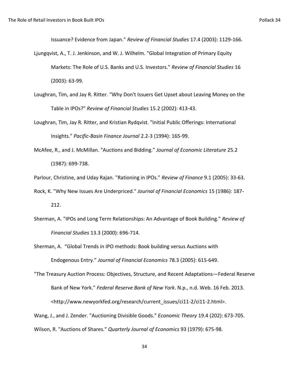Issuance? Evidence from Japan." *Review of Financial Studies* 17.4 (2003): 1129-166.

- Ljungqvist, A., T. J. Jenkinson, and W. J. Wilhelm. "Global Integration of Primary Equity Markets: The Role of U.S. Banks and U.S. Investors." *Review of Financial Studies* 16 (2003): 63-99.
- Loughran, Tim, and Jay R. Ritter. "Why Don't Issuers Get Upset about Leaving Money on the Table in IPOs?" *Review of Financial Studies* 15.2 (2002): 413-43.
- Loughran, Tim, Jay R. Ritter, and Kristian Rydqvist. "Initial Public Offerings: International Insights." *Pacific-Basin Finance Journal* 2.2-3 (1994): 165-99.
- McAfee, R., and J. McMillan. "Auctions and Bidding." *Journal of Economic Literature* 25.2 (1987): 699-738.

Parlour, Christine, and Uday Rajan. "Rationing in IPOs." *Review of Finance* 9.1 (2005): 33-63.

- Rock, K. "Why New Issues Are Underpriced." *Journal of Financial Economics* 15 (1986): 187- 212.
- Sherman, A. "IPOs and Long Term Relationships: An Advantage of Book Building." *Review of Financial Studies* 13.3 (2000): 696-714.

Sherman, A. "Global Trends in IPO methods: Book building versus Auctions with Endogenous Entry." *Journal of Financial Economics* 78.3 (2005): 615-649.

"The Treasury Auction Process: Objectives, Structure, and Recent Adaptations—Federal Reserve Bank of New York." *Federal Reserve Bank of New York*. N.p., n.d. Web. 16 Feb. 2013. <http://www.newyorkfed.org/research/current\_issues/ci11-2/ci11-2.html>.

Wang, J., and J. Zender. "Auctioning Divisible Goods." *Economic Theory* 19.4 (202): 673-705.

Wilson, R. "Auctions of Shares." *Quarterly Journal of Economics* 93 (1979): 675-98.